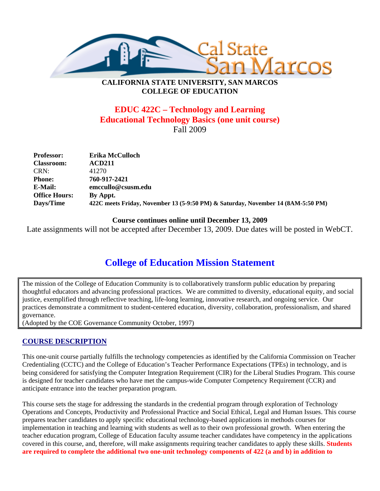

# **CALIFORNIA STATE UNIVERSITY, SAN MARCOS COLLEGE OF EDUCATION**

# **EDUC 422C – Technology and Learning Educational Technology Basics (one unit course)**  Fall 2009

| <b>Professor:</b>    | Erika McCulloch                                                                  |
|----------------------|----------------------------------------------------------------------------------|
| <b>Classroom:</b>    | <b>ACD211</b>                                                                    |
| CRN:                 | 41270                                                                            |
| <b>Phone:</b>        | 760-917-2421                                                                     |
| E-Mail:              | emccullo@csusm.edu                                                               |
| <b>Office Hours:</b> | By Appt.                                                                         |
| Days/Time            | 422C meets Friday, November 13 (5-9:50 PM) & Saturday, November 14 (8AM-5:50 PM) |

#### **Course continues online until December 13, 2009**

Late assignments will not be accepted after December 13, 2009. Due dates will be posted in WebCT.

# **College of Education Mission Statement**

The mission of the College of Education Community is to collaboratively transform public education by preparing thoughtful educators and advancing professional practices. We are committed to diversity, educational equity, and social justice, exemplified through reflective teaching, life-long learning, innovative research, and ongoing service. Our practices demonstrate a commitment to student-centered education, diversity, collaboration, professionalism, and shared governance.

(Adopted by the COE Governance Community October, 1997)

# **COURSE DESCRIPTION**

This one-unit course partially fulfills the technology competencies as identified by the California Commission on Teacher Credentialing (CCTC) and the College of Education's Teacher Performance Expectations (TPEs) in technology, and is being considered for satisfying the Computer Integration Requirement (CIR) for the Liberal Studies Program. This course is designed for teacher candidates who have met the campus-wide Computer Competency Requirement (CCR) and anticipate entrance into the teacher preparation program.

This course sets the stage for addressing the standards in the credential program through exploration of Technology Operations and Concepts, Productivity and Professional Practice and Social Ethical, Legal and Human Issues. This course prepares teacher candidates to apply specific educational technology-based applications in methods courses for implementation in teaching and learning with students as well as to their own professional growth. When entering the teacher education program, College of Education faculty assume teacher candidates have competency in the applications covered in this course, and, therefore, will make assignments requiring teacher candidates to apply these skills. **Students are required to complete the additional two one-unit technology components of 422 (a and b) in addition to**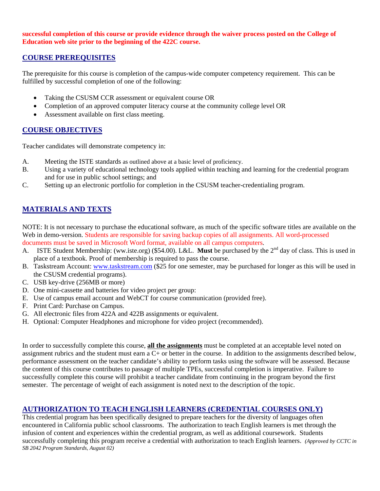#### **successful completion of this course or provide evidence through the waiver process posted on the College of Education web site prior to the beginning of the 422C course.**

# **COURSE PREREQUISITES**

The prerequisite for this course is completion of the campus-wide computer competency requirement. This can be fulfilled by successful completion of one of the following:

- Taking the CSUSM CCR assessment or equivalent course OR
- Completion of an approved computer literacy course at the community college level OR
- Assessment available on first class meeting.

# **COURSE OBJECTIVES**

Teacher candidates will demonstrate competency in:

- A. Meeting the ISTE standards as outlined above at a basic level of proficiency.
- B. Using a variety of educational technology tools applied within teaching and learning for the credential program and for use in public school settings; and
- C. Setting up an electronic portfolio for completion in the CSUSM teacher-credentialing program.

# **MATERIALS AND TEXTS**

NOTE: It is not necessary to purchase the educational software, as much of the specific software titles are available on the Web in demo-version. Students are responsible for saving backup copies of all assignments. All word-processed documents must be saved in Microsoft Word format, available on all campus computers.

- A. ISTE Student Membership: (ww.iste.org) (\$54.00). L&L. **Must** be purchased by the 2<sup>nd</sup> day of class. This is used in place of a textbook. Proof of membership is required to pass the course.
- B. Taskstream Account: www.taskstream.com (\$25 for one semester, may be purchased for longer as this will be used in the CSUSM credential programs).
- C. USB key-drive (256MB or more)
- D. One mini-cassette and batteries for video project per group:
- E. Use of campus email account and WebCT for course communication (provided free).
- F. Print Card: Purchase on Campus.
- G. All electronic files from 422A and 422B assignments or equivalent.
- H. Optional: Computer Headphones and microphone for video project (recommended).

In order to successfully complete this course, **all the assignments** must be completed at an acceptable level noted on assignment rubrics and the student must earn a C+ or better in the course. In addition to the assignments described below, performance assessment on the teacher candidate's ability to perform tasks using the software will be assessed. Because the content of this course contributes to passage of multiple TPEs, successful completion is imperative. Failure to successfully complete this course will prohibit a teacher candidate from continuing in the program beyond the first semester. The percentage of weight of each assignment is noted next to the description of the topic.

# **AUTHORIZATION TO TEACH ENGLISH LEARNERS (CREDENTIAL COURSES ONLY)**

This credential program has been specifically designed to prepare teachers for the diversity of languages often encountered in California public school classrooms. The authorization to teach English learners is met through the infusion of content and experiences within the credential program, as well as additional coursework. Students successfully completing this program receive a credential with authorization to teach English learners. *(Approved by CCTC in SB 2042 Program Standards, August 02)*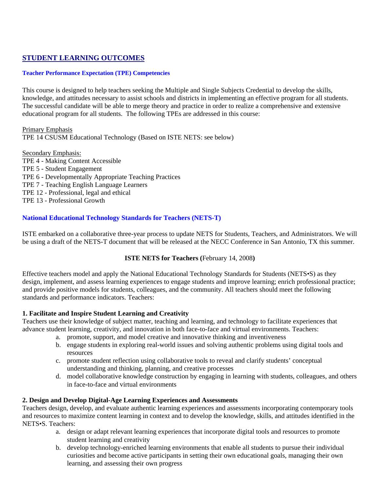# **STUDENT LEARNING OUTCOMES**

#### **Teacher Performance Expectation (TPE) Competencies**

This course is designed to help teachers seeking the Multiple and Single Subjects Credential to develop the skills, knowledge, and attitudes necessary to assist schools and districts in implementing an effective program for all students. The successful candidate will be able to merge theory and practice in order to realize a comprehensive and extensive educational program for all students. The following TPEs are addressed in this course:

Primary Emphasis TPE 14 CSUSM Educational Technology (Based on ISTE NETS: see below)

Secondary Emphasis: TPE 4 - Making Content Accessible TPE 5 - Student Engagement TPE 6 - Developmentally Appropriate Teaching Practices TPE 7 - Teaching English Language Learners TPE 12 - Professional, legal and ethical TPE 13 - Professional Growth

#### **National Educational Technology Standards for Teachers (NETS-T)**

ISTE embarked on a collaborative three-year process to update NETS for Students, Teachers, and Administrators. We will be using a draft of the NETS-T document that will be released at the NECC Conference in San Antonio, TX this summer.

#### **ISTE NETS for Teachers (**February 14, 2008**)**

Effective teachers model and apply the National Educational Technology Standards for Students (NETS•S) as they design, implement, and assess learning experiences to engage students and improve learning; enrich professional practice; and provide positive models for students, colleagues, and the community. All teachers should meet the following standards and performance indicators. Teachers:

#### **1. Facilitate and Inspire Student Learning and Creativity**

Teachers use their knowledge of subject matter, teaching and learning, and technology to facilitate experiences that advance student learning, creativity, and innovation in both face-to-face and virtual environments. Teachers:

- a. promote, support, and model creative and innovative thinking and inventiveness
- b. engage students in exploring real-world issues and solving authentic problems using digital tools and resources
- c. promote student reflection using collaborative tools to reveal and clarify students' conceptual understanding and thinking, planning, and creative processes
- d. model collaborative knowledge construction by engaging in learning with students, colleagues, and others in face-to-face and virtual environments

#### **2. Design and Develop Digital-Age Learning Experiences and Assessments**

Teachers design, develop, and evaluate authentic learning experiences and assessments incorporating contemporary tools and resources to maximize content learning in context and to develop the knowledge, skills, and attitudes identified in the NETS•S. Teachers:

- a. design or adapt relevant learning experiences that incorporate digital tools and resources to promote student learning and creativity
- b. develop technology-enriched learning environments that enable all students to pursue their individual curiosities and become active participants in setting their own educational goals, managing their own learning, and assessing their own progress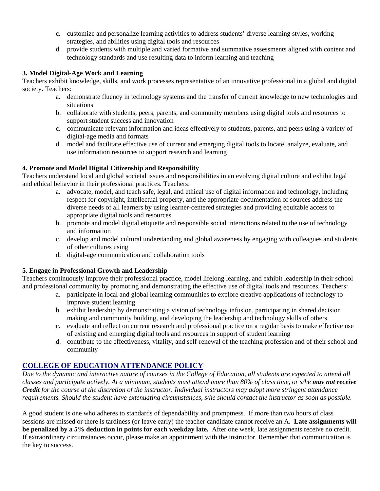- c. customize and personalize learning activities to address students' diverse learning styles, working strategies, and abilities using digital tools and resources
- d. provide students with multiple and varied formative and summative assessments aligned with content and technology standards and use resulting data to inform learning and teaching

#### **3. Model Digital-Age Work and Learning**

Teachers exhibit knowledge, skills, and work processes representative of an innovative professional in a global and digital society. Teachers:

- a. demonstrate fluency in technology systems and the transfer of current knowledge to new technologies and situations
- b. collaborate with students, peers, parents, and community members using digital tools and resources to support student success and innovation
- c. communicate relevant information and ideas effectively to students, parents, and peers using a variety of digital-age media and formats
- d. model and facilitate effective use of current and emerging digital tools to locate, analyze, evaluate, and use information resources to support research and learning

#### **4. Promote and Model Digital Citizenship and Responsibility**

Teachers understand local and global societal issues and responsibilities in an evolving digital culture and exhibit legal and ethical behavior in their professional practices. Teachers:

- a. advocate, model, and teach safe, legal, and ethical use of digital information and technology, including respect for copyright, intellectual property, and the appropriate documentation of sources address the diverse needs of all learners by using learner-centered strategies and providing equitable access to appropriate digital tools and resources
- b. promote and model digital etiquette and responsible social interactions related to the use of technology and information
- c. develop and model cultural understanding and global awareness by engaging with colleagues and students of other cultures using
- d. digital-age communication and collaboration tools

#### **5. Engage in Professional Growth and Leadership**

Teachers continuously improve their professional practice, model lifelong learning, and exhibit leadership in their school and professional community by promoting and demonstrating the effective use of digital tools and resources. Teachers:

- a. participate in local and global learning communities to explore creative applications of technology to improve student learning
- b. exhibit leadership by demonstrating a vision of technology infusion, participating in shared decision making and community building, and developing the leadership and technology skills of others
- c. evaluate and reflect on current research and professional practice on a regular basis to make effective use of existing and emerging digital tools and resources in support of student learning
- d. contribute to the effectiveness, vitality, and self-renewal of the teaching profession and of their school and community

# **COLLEGE OF EDUCATION ATTENDANCE POLICY**

*Due to the dynamic and interactive nature of courses in the College of Education, all students are expected to attend all classes and participate actively. At a minimum, students must attend more than 80% of class time, or s/he may not receive Credit for the course at the discretion of the instructor. Individual instructors may adopt more stringent attendance requirements. Should the student have extenuating circumstances, s/he should contact the instructor as soon as possible.* 

A good student is one who adheres to standards of dependability and promptness. If more than two hours of class sessions are missed or there is tardiness (or leave early) the teacher candidate cannot receive an A**. Late assignments will be penalized by a 5% deduction in points for each weekday late.** After one week, late assignments receive no credit. If extraordinary circumstances occur, please make an appointment with the instructor. Remember that communication is the key to success.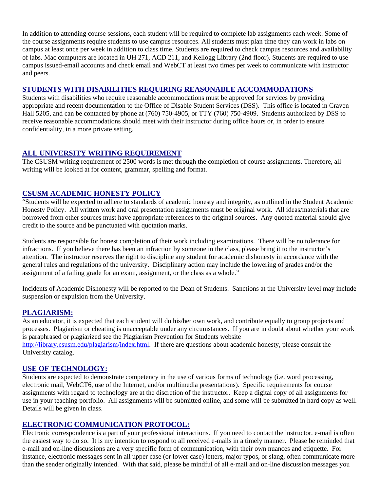In addition to attending course sessions, each student will be required to complete lab assignments each week. Some of the course assignments require students to use campus resources. All students must plan time they can work in labs on campus at least once per week in addition to class time. Students are required to check campus resources and availability of labs. Mac computers are located in UH 271, ACD 211, and Kellogg Library (2nd floor). Students are required to use campus issued-email accounts and check email and WebCT at least two times per week to communicate with instructor and peers.

### **STUDENTS WITH DISABILITIES REQUIRING REASONABLE ACCOMMODATIONS**

Students with disabilities who require reasonable accommodations must be approved for services by providing appropriate and recent documentation to the Office of Disable Student Services (DSS). This office is located in Craven Hall 5205, and can be contacted by phone at (760) 750-4905, or TTY (760) 750-4909. Students authorized by DSS to receive reasonable accommodations should meet with their instructor during office hours or, in order to ensure confidentiality, in a more private setting.

# **ALL UNIVERSITY WRITING REQUIREMENT**

The CSUSM writing requirement of 2500 words is met through the completion of course assignments. Therefore, all writing will be looked at for content, grammar, spelling and format.

# **CSUSM ACADEMIC HONESTY POLICY**

"Students will be expected to adhere to standards of academic honesty and integrity, as outlined in the Student Academic Honesty Policy. All written work and oral presentation assignments must be original work. All ideas/materials that are borrowed from other sources must have appropriate references to the original sources. Any quoted material should give credit to the source and be punctuated with quotation marks.

Students are responsible for honest completion of their work including examinations. There will be no tolerance for infractions. If you believe there has been an infraction by someone in the class, please bring it to the instructor's attention. The instructor reserves the right to discipline any student for academic dishonesty in accordance with the general rules and regulations of the university. Disciplinary action may include the lowering of grades and/or the assignment of a failing grade for an exam, assignment, or the class as a whole."

Incidents of Academic Dishonesty will be reported to the Dean of Students. Sanctions at the University level may include suspension or expulsion from the University.

#### **PLAGIARISM:**

As an educator, it is expected that each student will do his/her own work, and contribute equally to group projects and processes. Plagiarism or cheating is unacceptable under any circumstances. If you are in doubt about whether your work is paraphrased or plagiarized see the Plagiarism Prevention for Students website http://library.csusm.edu/plagiarism/index.html. If there are questions about academic honesty, please consult the University catalog.

# **USE OF TECHNOLOGY:**

Students are expected to demonstrate competency in the use of various forms of technology (i.e. word processing, electronic mail, WebCT6, use of the Internet, and/or multimedia presentations). Specific requirements for course assignments with regard to technology are at the discretion of the instructor. Keep a digital copy of all assignments for use in your teaching portfolio. All assignments will be submitted online, and some will be submitted in hard copy as well. Details will be given in class.

# **ELECTRONIC COMMUNICATION PROTOCOL:**

Electronic correspondence is a part of your professional interactions. If you need to contact the instructor, e-mail is often the easiest way to do so. It is my intention to respond to all received e-mails in a timely manner. Please be reminded that e-mail and on-line discussions are a very specific form of communication, with their own nuances and etiquette. For instance, electronic messages sent in all upper case (or lower case) letters, major typos, or slang, often communicate more than the sender originally intended. With that said, please be mindful of all e-mail and on-line discussion messages you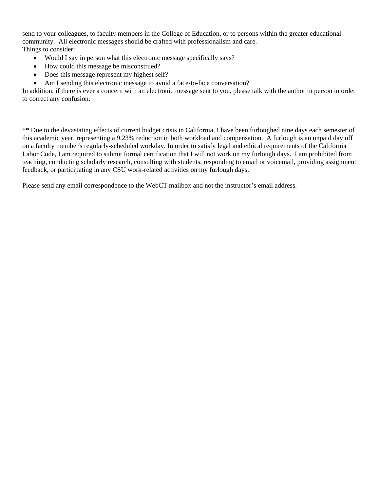send to your colleagues, to faculty members in the College of Education, or to persons within the greater educational community. All electronic messages should be crafted with professionalism and care. Things to consider:

- Would I say in person what this electronic message specifically says?
- How could this message be misconstrued?
- Does this message represent my highest self?
- Am I sending this electronic message to avoid a face-to-face conversation?

In addition, if there is ever a concern with an electronic message sent to you, please talk with the author in person in order to correct any confusion.

\*\* Due to the devastating effects of current budget crisis in California, I have been furloughed nine days each semester of this academic year, representing a 9.23% reduction in both workload and compensation. A furlough is an unpaid day off on a faculty member's regularly-scheduled workday. In order to satisfy legal and ethical requirements of the California Labor Code, I am required to submit formal certification that I will not work on my furlough days. I am prohibited from teaching, conducting scholarly research, consulting with students, responding to email or voicemail, providing assignment feedback, or participating in any CSU work-related activities on my furlough days.

Please send any email correspondence to the WebCT mailbox and not the instructor's email address.